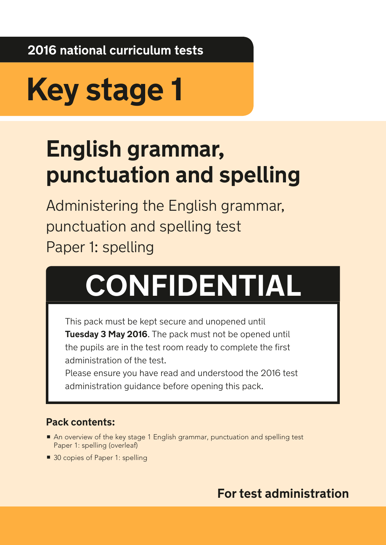**2016 national curriculum tests**

# **Key stage 1**

## **English grammar, punctuation and spelling**

Administering the English grammar, punctuation and spelling test Paper 1: spelling

## **CONFIDENTIAL**

This pack must be kept secure and unopened until **Tuesday 3 May 2016**. The pack must not be opened until the pupils are in the test room ready to complete the first administration of the test.

Please ensure you have read and understood the 2016 test administration guidance before opening this pack.

### **Pack contents:**

- An overview of the key stage 1 English grammar, punctuation and spelling test Paper 1: spelling (overleaf)
- 30 copies of Paper 1: spelling

## **For test administration**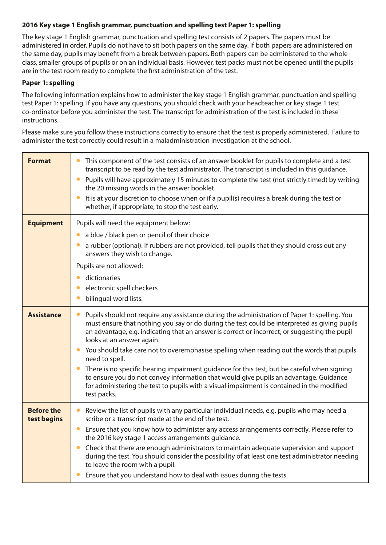#### **2016 Key stage 1 English grammar, punctuation and spelling test Paper 1: spelling**

The key stage 1 English grammar, punctuation and spelling test consists of 2 papers. The papers must be administered in order. Pupils do not have to sit both papers on the same day. If both papers are administered on the same day, pupils may benefit from a break between papers. Both papers can be administered to the whole class, smaller groups of pupils or on an individual basis. However, test packs must not be opened until the pupils are in the test room ready to complete the first administration of the test.

#### **Paper 1: spelling**

The following information explains how to administer the key stage 1 English grammar, punctuation and spelling test Paper 1: spelling. If you have any questions, you should check with your headteacher or key stage 1 test co-ordinator before you administer the test. The transcript for administration of the test is included in these instructions.

Please make sure you follow these instructions correctly to ensure that the test is properly administered. Failure to administer the test correctly could result in a maladministration investigation at the school.

| <b>Format</b>                    | This component of the test consists of an answer booklet for pupils to complete and a test<br>transcript to be read by the test administrator. The transcript is included in this guidance.<br>Pupils will have approximately 15 minutes to complete the test (not strictly timed) by writing<br>$\bullet$<br>the 20 missing words in the answer booklet.<br>It is at your discretion to choose when or if a pupil(s) requires a break during the test or<br>whether, if appropriate, to stop the test early. |
|----------------------------------|---------------------------------------------------------------------------------------------------------------------------------------------------------------------------------------------------------------------------------------------------------------------------------------------------------------------------------------------------------------------------------------------------------------------------------------------------------------------------------------------------------------|
| <b>Equipment</b>                 | Pupils will need the equipment below:<br>a blue / black pen or pencil of their choice<br>$\bullet$                                                                                                                                                                                                                                                                                                                                                                                                            |
|                                  | a rubber (optional). If rubbers are not provided, tell pupils that they should cross out any<br>answers they wish to change.                                                                                                                                                                                                                                                                                                                                                                                  |
|                                  | Pupils are not allowed:<br>dictionaries                                                                                                                                                                                                                                                                                                                                                                                                                                                                       |
|                                  | electronic spell checkers<br>bilingual word lists.                                                                                                                                                                                                                                                                                                                                                                                                                                                            |
| <b>Assistance</b>                | Pupils should not require any assistance during the administration of Paper 1: spelling. You<br>$\bullet$<br>must ensure that nothing you say or do during the test could be interpreted as giving pupils<br>an advantage, e.g. indicating that an answer is correct or incorrect, or suggesting the pupil<br>looks at an answer again.                                                                                                                                                                       |
|                                  | • You should take care not to overemphasise spelling when reading out the words that pupils<br>need to spell.                                                                                                                                                                                                                                                                                                                                                                                                 |
|                                  | There is no specific hearing impairment guidance for this test, but be careful when signing<br>to ensure you do not convey information that would give pupils an advantage. Guidance<br>for administering the test to pupils with a visual impairment is contained in the modified<br>test packs.                                                                                                                                                                                                             |
| <b>Before the</b><br>test begins | Review the list of pupils with any particular individual needs, e.g. pupils who may need a<br>$\bullet$<br>scribe or a transcript made at the end of the test.                                                                                                                                                                                                                                                                                                                                                |
|                                  | Ensure that you know how to administer any access arrangements correctly. Please refer to<br>$\bullet$<br>the 2016 key stage 1 access arrangements guidance.                                                                                                                                                                                                                                                                                                                                                  |
|                                  | Check that there are enough administrators to maintain adequate supervision and support<br>during the test. You should consider the possibility of at least one test administrator needing<br>to leave the room with a pupil.                                                                                                                                                                                                                                                                                 |
|                                  | Ensure that you understand how to deal with issues during the tests.                                                                                                                                                                                                                                                                                                                                                                                                                                          |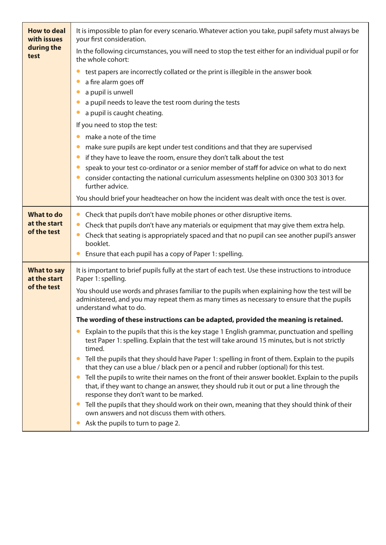| <b>How to deal</b><br>with issues<br>during the<br>test | It is impossible to plan for every scenario. Whatever action you take, pupil safety must always be<br>your first consideration.                                                                                                                                                                                                                                                                                                                                                                                                                                                                                                                                                                                                                      |
|---------------------------------------------------------|------------------------------------------------------------------------------------------------------------------------------------------------------------------------------------------------------------------------------------------------------------------------------------------------------------------------------------------------------------------------------------------------------------------------------------------------------------------------------------------------------------------------------------------------------------------------------------------------------------------------------------------------------------------------------------------------------------------------------------------------------|
|                                                         | In the following circumstances, you will need to stop the test either for an individual pupil or for<br>the whole cohort:                                                                                                                                                                                                                                                                                                                                                                                                                                                                                                                                                                                                                            |
|                                                         | test papers are incorrectly collated or the print is illegible in the answer book<br>a fire alarm goes off<br>a pupil is unwell<br>a pupil needs to leave the test room during the tests<br>a pupil is caught cheating.<br>If you need to stop the test:<br>make a note of the time<br>make sure pupils are kept under test conditions and that they are supervised<br>if they have to leave the room, ensure they don't talk about the test<br>speak to your test co-ordinator or a senior member of staff for advice on what to do next<br>consider contacting the national curriculum assessments helpline on 0300 303 3013 for<br>further advice.<br>You should brief your headteacher on how the incident was dealt with once the test is over. |
| <b>What to do</b><br>at the start<br>of the test        | Check that pupils don't have mobile phones or other disruptive items.<br>Check that pupils don't have any materials or equipment that may give them extra help.<br>Check that seating is appropriately spaced and that no pupil can see another pupil's answer<br>booklet.<br>Ensure that each pupil has a copy of Paper 1: spelling.                                                                                                                                                                                                                                                                                                                                                                                                                |
| <b>What to say</b><br>at the start<br>of the test       | It is important to brief pupils fully at the start of each test. Use these instructions to introduce<br>Paper 1: spelling.<br>You should use words and phrases familiar to the pupils when explaining how the test will be<br>administered, and you may repeat them as many times as necessary to ensure that the pupils<br>understand what to do.                                                                                                                                                                                                                                                                                                                                                                                                   |
|                                                         | The wording of these instructions can be adapted, provided the meaning is retained.                                                                                                                                                                                                                                                                                                                                                                                                                                                                                                                                                                                                                                                                  |
|                                                         | Explain to the pupils that this is the key stage 1 English grammar, punctuation and spelling<br>test Paper 1: spelling. Explain that the test will take around 15 minutes, but is not strictly<br>timed.                                                                                                                                                                                                                                                                                                                                                                                                                                                                                                                                             |
|                                                         | Tell the pupils that they should have Paper 1: spelling in front of them. Explain to the pupils<br>that they can use a blue / black pen or a pencil and rubber (optional) for this test.                                                                                                                                                                                                                                                                                                                                                                                                                                                                                                                                                             |
|                                                         | Tell the pupils to write their names on the front of their answer booklet. Explain to the pupils<br>that, if they want to change an answer, they should rub it out or put a line through the<br>response they don't want to be marked.                                                                                                                                                                                                                                                                                                                                                                                                                                                                                                               |
|                                                         | Tell the pupils that they should work on their own, meaning that they should think of their<br>own answers and not discuss them with others.<br>Ask the pupils to turn to page 2.                                                                                                                                                                                                                                                                                                                                                                                                                                                                                                                                                                    |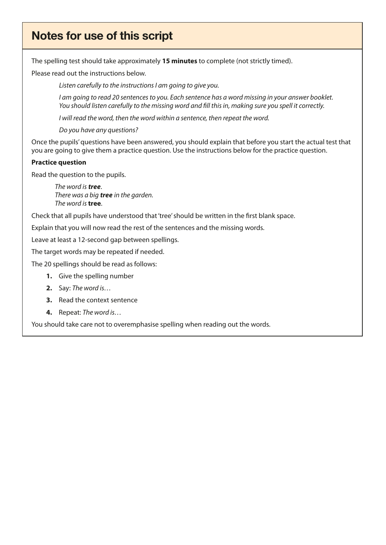## Notes for use of this script

The spelling test should take approximately **15 minutes** to complete (not strictly timed).

Please read out the instructions below.

*Listen carefully to the instructions I am going to give you.*

*I am going to read 20 sentences to you. Each sentence has a word missing in your answer booklet. You should listen carefully to the missing word and fill this in, making sure you spell it correctly.* 

*I will read the word, then the word within a sentence, then repeat the word.* 

*Do you have any questions?* 

Once the pupils' questions have been answered, you should explain that before you start the actual test that you are going to give them a practice question. Use the instructions below for the practice question.

#### **Practice question**

Read the question to the pupils.

 *The word is tree*. *There was a big tree in the garden. The word is* **tree**.

Check that all pupils have understood that 'tree' should be written in the first blank space.

Explain that you will now read the rest of the sentences and the missing words.

Leave at least a 12-second gap between spellings.

The target words may be repeated if needed.

The 20 spellings should be read as follows:

- **1.** Give the spelling number
- **2.** Say: *The word is…*
- **3.** Read the context sentence
- **4.** Repeat: *The word is…*

You should take care not to overemphasise spelling when reading out the words.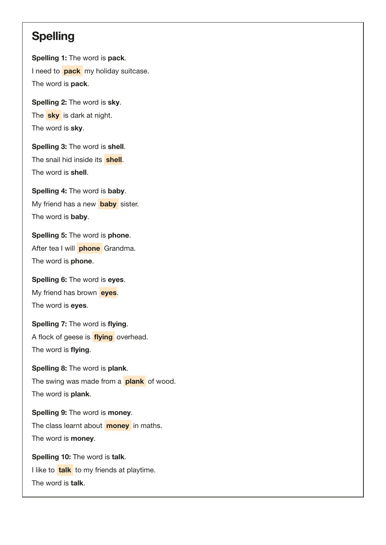### **Spelling**

Spelling 1: The word is pack. I need to **pack** my holiday suitcase. The word is **pack**.

Spelling 2: The word is sky. The **sky** is dark at night. The word is **sky**.

Spelling 3: The word is shell. The snail hid inside its shell. The word is shell.

Spelling 4: The word is baby. My friend has a new **baby** sister. The word is **baby**.

Spelling 5: The word is phone. After tea I will **phone** Grandma. The word is **phone**.

Spelling 6: The word is eyes. My friend has brown eyes. The word is eyes.

Spelling 7: The word is flying. A flock of geese is **flying** overhead. The word is flying.

Spelling 8: The word is plank. The swing was made from a **plank** of wood. The word is plank.

Spelling 9: The word is money. The class learnt about **money** in maths. The word is **money**.

Spelling 10: The word is talk. I like to **talk** to my friends at playtime. The word is talk.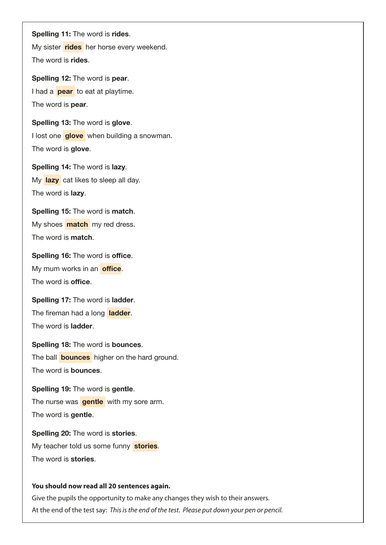Spelling 11: The word is rides.

My sister rides her horse every weekend. The word is rides.

Spelling 12: The word is pear. I had a **pear** to eat at playtime. The word is **pear**.

Spelling 13: The word is glove. I lost one **glove** when building a snowman. The word is glove.

Spelling 14: The word is lazy. My lazy cat likes to sleep all day. The word is **lazy**.

Spelling 15: The word is match. My shoes **match** my red dress. The word is match.

Spelling 16: The word is office. My mum works in an office. The word is **office**.

Spelling 17: The word is ladder. The fireman had a long ladder. The word is ladder.

Spelling 18: The word is bounces. The ball **bounces** higher on the hard ground. The word is bounces.

Spelling 19: The word is gentle. The nurse was **gentle** with my sore arm. The word is gentle.

Spelling 20: The word is stories. My teacher told us some funny stories. The word is stories.

#### **You should now read all 20 sentences again.**

Give the pupils the opportunity to make any changes they wish to their answers. At the end of the test say: *This is the end of the test. Please put down your pen or pencil.*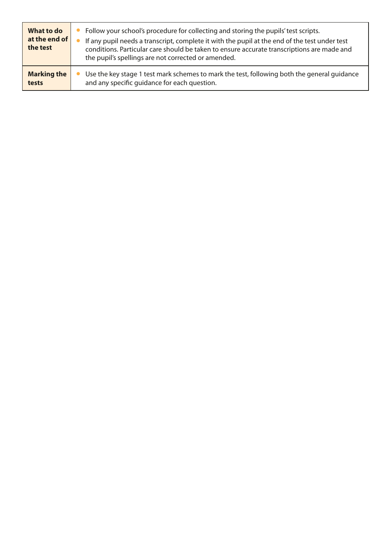| What to do<br>at the end of<br>the test | • Follow your school's procedure for collecting and storing the pupils' test scripts.<br>If any pupil needs a transcript, complete it with the pupil at the end of the test under test<br>conditions. Particular care should be taken to ensure accurate transcriptions are made and<br>the pupil's spellings are not corrected or amended. |
|-----------------------------------------|---------------------------------------------------------------------------------------------------------------------------------------------------------------------------------------------------------------------------------------------------------------------------------------------------------------------------------------------|
| <b>Marking the</b>                      | Use the key stage 1 test mark schemes to mark the test, following both the general guidance                                                                                                                                                                                                                                                 |
| tests                                   | and any specific quidance for each question.                                                                                                                                                                                                                                                                                                |